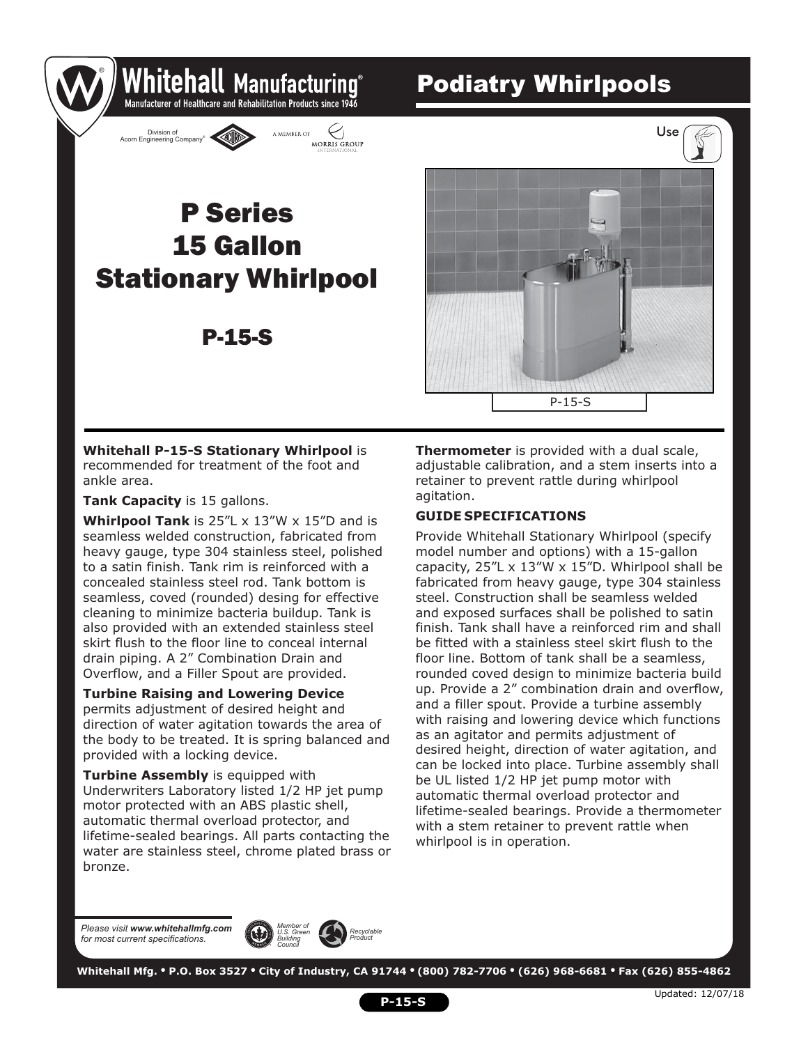### Podiatry Whirlpools



Whitehall Manufacturing Manufacturer of Healthcare and Rehabilitation Products since 1946

MORRIS GROUP

A MEMBER OF

P-15-S



**Whitehall P-15-S Stationary Whirlpool** is recommended for treatment of the foot and ankle area.

**Tank Capacity** is 15 gallons.

®

Division of Brussen Company

**Whirlpool Tank** is 25"L x 13"W x 15"D and is seamless welded construction, fabricated from heavy gauge, type 304 stainless steel, polished to a satin finish. Tank rim is reinforced with a concealed stainless steel rod. Tank bottom is seamless, coved (rounded) desing for effective cleaning to minimize bacteria buildup. Tank is also provided with an extended stainless steel skirt flush to the floor line to conceal internal drain piping. A 2" Combination Drain and Overflow, and a Filler Spout are provided.

**Turbine Raising and Lowering Device**  permits adjustment of desired height and direction of water agitation towards the area of the body to be treated. It is spring balanced and provided with a locking device.

**Turbine Assembly** is equipped with Underwriters Laboratory listed 1/2 HP jet pump motor protected with an ABS plastic shell, automatic thermal overload protector, and lifetime-sealed bearings. All parts contacting the water are stainless steel, chrome plated brass or bronze.

**Thermometer** is provided with a dual scale, adjustable calibration, and a stem inserts into a retainer to prevent rattle during whirlpool agitation.

#### **GUIDE SPECIFICATIONS**

Provide Whitehall Stationary Whirlpool (specify model number and options) with a 15-gallon capacity, 25"L x 13"W x 15"D. Whirlpool shall be fabricated from heavy gauge, type 304 stainless steel. Construction shall be seamless welded and exposed surfaces shall be polished to satin finish. Tank shall have a reinforced rim and shall be fitted with a stainless steel skirt flush to the floor line. Bottom of tank shall be a seamless, rounded coved design to minimize bacteria build up. Provide a 2" combination drain and overflow, and a filler spout. Provide a turbine assembly with raising and lowering device which functions as an agitator and permits adjustment of desired height, direction of water agitation, and can be locked into place. Turbine assembly shall be UL listed 1/2 HP jet pump motor with automatic thermal overload protector and lifetime-sealed bearings. Provide a thermometer with a stem retainer to prevent rattle when whirlpool is in operation.

*Please visit www.whitehallmfg.com for most current specifications.*



 **Whitehall Mfg. • P.O. Box 3527 • City of Industry, CA 91744 • (800) 782-7706 • (626) 968-6681 • Fax (626) 855-4862**

**P-15-S**